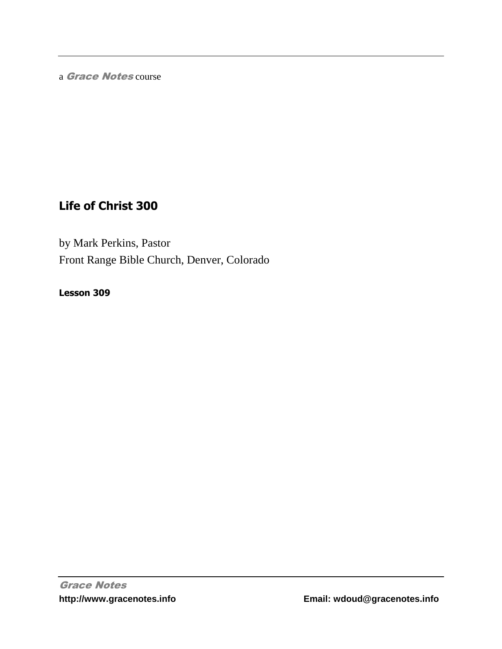a Grace Notes course

# **Life of Christ 300**

by Mark Perkins, Pastor Front Range Bible Church, Denver, Colorado

**Lesson 309**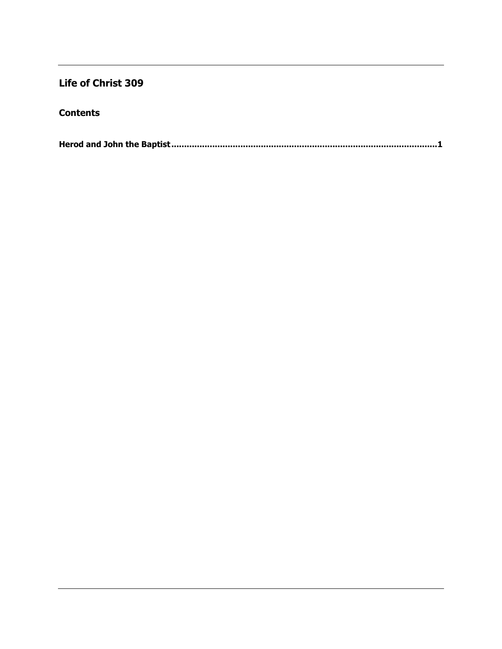## **Life of Christ 309**

### **Contents**

**Herod and John the Baptist [........................................................................................................1](#page-2-0)**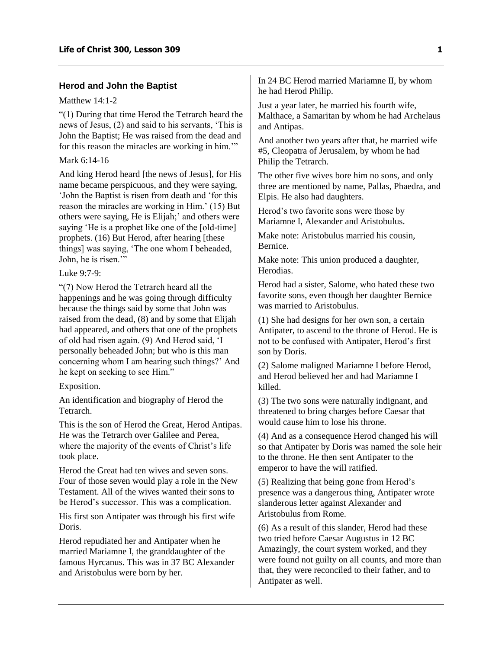#### <span id="page-2-0"></span>**Herod and John the Baptist**

#### Matthew 14:1-2

"(1) During that time Herod the Tetrarch heard the news of Jesus, (2) and said to his servants, 'This is John the Baptist; He was raised from the dead and for this reason the miracles are working in him.'"

#### Mark 6:14-16

And king Herod heard [the news of Jesus], for His name became perspicuous, and they were saying, 'John the Baptist is risen from death and 'for this reason the miracles are working in Him.' (15) But others were saying, He is Elijah;' and others were saying 'He is a prophet like one of the [old-time] prophets. (16) But Herod, after hearing [these things] was saying, 'The one whom I beheaded, John, he is risen.'"

Luke  $9.7-9$ 

"(7) Now Herod the Tetrarch heard all the happenings and he was going through difficulty because the things said by some that John was raised from the dead, (8) and by some that Elijah had appeared, and others that one of the prophets of old had risen again. (9) And Herod said, 'I personally beheaded John; but who is this man concerning whom I am hearing such things?' And he kept on seeking to see Him."

Exposition.

An identification and biography of Herod the Tetrarch.

This is the son of Herod the Great, Herod Antipas. He was the Tetrarch over Galilee and Perea, where the majority of the events of Christ's life took place.

Herod the Great had ten wives and seven sons. Four of those seven would play a role in the New Testament. All of the wives wanted their sons to be Herod's successor. This was a complication.

His first son Antipater was through his first wife Doris.

Herod repudiated her and Antipater when he married Mariamne I, the granddaughter of the famous Hyrcanus. This was in 37 BC Alexander and Aristobulus were born by her.

In 24 BC Herod married Mariamne II, by whom he had Herod Philip.

Just a year later, he married his fourth wife, Malthace, a Samaritan by whom he had Archelaus and Antipas.

And another two years after that, he married wife #5, Cleopatra of Jerusalem, by whom he had Philip the Tetrarch.

The other five wives bore him no sons, and only three are mentioned by name, Pallas, Phaedra, and Elpis. He also had daughters.

Herod's two favorite sons were those by Mariamne I, Alexander and Aristobulus.

Make note: Aristobulus married his cousin, Bernice.

Make note: This union produced a daughter, Herodias.

Herod had a sister, Salome, who hated these two favorite sons, even though her daughter Bernice was married to Aristobulus.

(1) She had designs for her own son, a certain Antipater, to ascend to the throne of Herod. He is not to be confused with Antipater, Herod's first son by Doris.

(2) Salome maligned Mariamne I before Herod, and Herod believed her and had Mariamne I killed.

(3) The two sons were naturally indignant, and threatened to bring charges before Caesar that would cause him to lose his throne.

(4) And as a consequence Herod changed his will so that Antipater by Doris was named the sole heir to the throne. He then sent Antipater to the emperor to have the will ratified.

(5) Realizing that being gone from Herod's presence was a dangerous thing, Antipater wrote slanderous letter against Alexander and Aristobulus from Rome.

(6) As a result of this slander, Herod had these two tried before Caesar Augustus in 12 BC Amazingly, the court system worked, and they were found not guilty on all counts, and more than that, they were reconciled to their father, and to Antipater as well.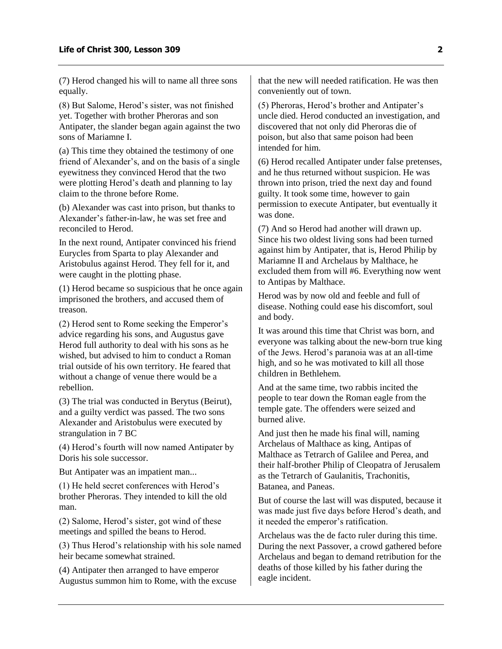(7) Herod changed his will to name all three sons equally.

(8) But Salome, Herod's sister, was not finished yet. Together with brother Pheroras and son Antipater, the slander began again against the two sons of Mariamne I.

(a) This time they obtained the testimony of one friend of Alexander's, and on the basis of a single eyewitness they convinced Herod that the two were plotting Herod's death and planning to lay claim to the throne before Rome.

(b) Alexander was cast into prison, but thanks to Alexander's father-in-law, he was set free and reconciled to Herod.

In the next round, Antipater convinced his friend Eurycles from Sparta to play Alexander and Aristobulus against Herod. They fell for it, and were caught in the plotting phase.

(1) Herod became so suspicious that he once again imprisoned the brothers, and accused them of treason.

(2) Herod sent to Rome seeking the Emperor's advice regarding his sons, and Augustus gave Herod full authority to deal with his sons as he wished, but advised to him to conduct a Roman trial outside of his own territory. He feared that without a change of venue there would be a rebellion.

(3) The trial was conducted in Berytus (Beirut), and a guilty verdict was passed. The two sons Alexander and Aristobulus were executed by strangulation in 7 BC

(4) Herod's fourth will now named Antipater by Doris his sole successor.

But Antipater was an impatient man...

(1) He held secret conferences with Herod's brother Pheroras. They intended to kill the old man.

(2) Salome, Herod's sister, got wind of these meetings and spilled the beans to Herod.

(3) Thus Herod's relationship with his sole named heir became somewhat strained.

(4) Antipater then arranged to have emperor Augustus summon him to Rome, with the excuse that the new will needed ratification. He was then conveniently out of town.

(5) Pheroras, Herod's brother and Antipater's uncle died. Herod conducted an investigation, and discovered that not only did Pheroras die of poison, but also that same poison had been intended for him.

(6) Herod recalled Antipater under false pretenses, and he thus returned without suspicion. He was thrown into prison, tried the next day and found guilty. It took some time, however to gain permission to execute Antipater, but eventually it was done.

(7) And so Herod had another will drawn up. Since his two oldest living sons had been turned against him by Antipater, that is, Herod Philip by Mariamne II and Archelaus by Malthace, he excluded them from will #6. Everything now went to Antipas by Malthace.

Herod was by now old and feeble and full of disease. Nothing could ease his discomfort, soul and body.

It was around this time that Christ was born, and everyone was talking about the new-born true king of the Jews. Herod's paranoia was at an all-time high, and so he was motivated to kill all those children in Bethlehem.

And at the same time, two rabbis incited the people to tear down the Roman eagle from the temple gate. The offenders were seized and burned alive.

And just then he made his final will, naming Archelaus of Malthace as king, Antipas of Malthace as Tetrarch of Galilee and Perea, and their half-brother Philip of Cleopatra of Jerusalem as the Tetrarch of Gaulanitis, Trachonitis, Batanea, and Paneas.

But of course the last will was disputed, because it was made just five days before Herod's death, and it needed the emperor's ratification.

Archelaus was the de facto ruler during this time. During the next Passover, a crowd gathered before Archelaus and began to demand retribution for the deaths of those killed by his father during the eagle incident.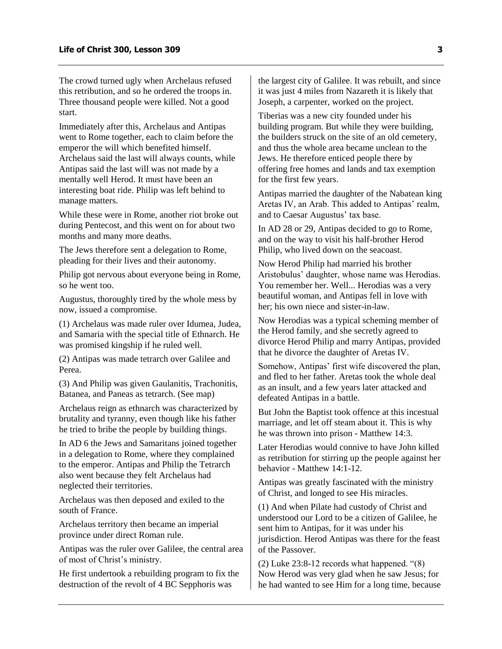The crowd turned ugly when Archelaus refused this retribution, and so he ordered the troops in. Three thousand people were killed. Not a good start.

Immediately after this, Archelaus and Antipas went to Rome together, each to claim before the emperor the will which benefited himself. Archelaus said the last will always counts, while Antipas said the last will was not made by a mentally well Herod. It must have been an interesting boat ride. Philip was left behind to manage matters.

While these were in Rome, another riot broke out during Pentecost, and this went on for about two months and many more deaths.

The Jews therefore sent a delegation to Rome, pleading for their lives and their autonomy.

Philip got nervous about everyone being in Rome, so he went too.

Augustus, thoroughly tired by the whole mess by now, issued a compromise.

(1) Archelaus was made ruler over Idumea, Judea, and Samaria with the special title of Ethnarch. He was promised kingship if he ruled well.

(2) Antipas was made tetrarch over Galilee and Perea.

(3) And Philip was given Gaulanitis, Trachonitis, Batanea, and Paneas as tetrarch. (See map)

Archelaus reign as ethnarch was characterized by brutality and tyranny, even though like his father he tried to bribe the people by building things.

In AD 6 the Jews and Samaritans joined together in a delegation to Rome, where they complained to the emperor. Antipas and Philip the Tetrarch also went because they felt Archelaus had neglected their territories.

Archelaus was then deposed and exiled to the south of France.

Archelaus territory then became an imperial province under direct Roman rule.

Antipas was the ruler over Galilee, the central area of most of Christ's ministry.

He first undertook a rebuilding program to fix the destruction of the revolt of 4 BC Sepphoris was

the largest city of Galilee. It was rebuilt, and since it was just 4 miles from Nazareth it is likely that Joseph, a carpenter, worked on the project.

Tiberias was a new city founded under his building program. But while they were building, the builders struck on the site of an old cemetery, and thus the whole area became unclean to the Jews. He therefore enticed people there by offering free homes and lands and tax exemption for the first few years.

Antipas married the daughter of the Nabatean king Aretas IV, an Arab. This added to Antipas' realm, and to Caesar Augustus' tax base.

In AD 28 or 29, Antipas decided to go to Rome, and on the way to visit his half-brother Herod Philip, who lived down on the seacoast.

Now Herod Philip had married his brother Aristobulus' daughter, whose name was Herodias. You remember her. Well... Herodias was a very beautiful woman, and Antipas fell in love with her; his own niece and sister-in-law.

Now Herodias was a typical scheming member of the Herod family, and she secretly agreed to divorce Herod Philip and marry Antipas, provided that he divorce the daughter of Aretas IV.

Somehow, Antipas' first wife discovered the plan, and fled to her father. Aretas took the whole deal as an insult, and a few years later attacked and defeated Antipas in a battle.

But John the Baptist took offence at this incestual marriage, and let off steam about it. This is why he was thrown into prison - Matthew 14:3.

Later Herodias would connive to have John killed as retribution for stirring up the people against her behavior - Matthew 14:1-12.

Antipas was greatly fascinated with the ministry of Christ, and longed to see His miracles.

(1) And when Pilate had custody of Christ and understood our Lord to be a citizen of Galilee, he sent him to Antipas, for it was under his jurisdiction. Herod Antipas was there for the feast of the Passover.

(2) Luke 23:8-12 records what happened. "(8) Now Herod was very glad when he saw Jesus; for he had wanted to see Him for a long time, because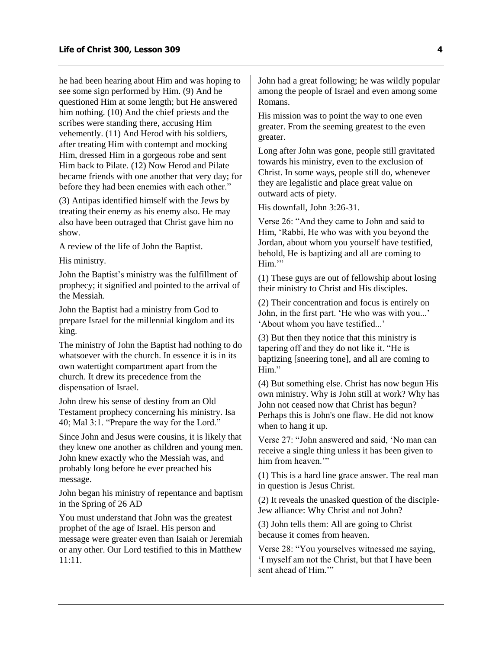he had been hearing about Him and was hoping to see some sign performed by Him. (9) And he questioned Him at some length; but He answered him nothing. (10) And the chief priests and the scribes were standing there, accusing Him vehemently. (11) And Herod with his soldiers, after treating Him with contempt and mocking Him, dressed Him in a gorgeous robe and sent Him back to Pilate. (12) Now Herod and Pilate became friends with one another that very day; for before they had been enemies with each other."

(3) Antipas identified himself with the Jews by treating their enemy as his enemy also. He may also have been outraged that Christ gave him no show.

A review of the life of John the Baptist.

His ministry.

John the Baptist's ministry was the fulfillment of prophecy; it signified and pointed to the arrival of the Messiah.

John the Baptist had a ministry from God to prepare Israel for the millennial kingdom and its king.

The ministry of John the Baptist had nothing to do whatsoever with the church. In essence it is in its own watertight compartment apart from the church. It drew its precedence from the dispensation of Israel.

John drew his sense of destiny from an Old Testament prophecy concerning his ministry. Isa 40; Mal 3:1. "Prepare the way for the Lord."

Since John and Jesus were cousins, it is likely that they knew one another as children and young men. John knew exactly who the Messiah was, and probably long before he ever preached his message.

John began his ministry of repentance and baptism in the Spring of 26 AD

You must understand that John was the greatest prophet of the age of Israel. His person and message were greater even than Isaiah or Jeremiah or any other. Our Lord testified to this in Matthew 11:11.

John had a great following; he was wildly popular among the people of Israel and even among some Romans.

His mission was to point the way to one even greater. From the seeming greatest to the even greater.

Long after John was gone, people still gravitated towards his ministry, even to the exclusion of Christ. In some ways, people still do, whenever they are legalistic and place great value on outward acts of piety.

His downfall, John 3:26-31.

Verse 26: "And they came to John and said to Him, 'Rabbi, He who was with you beyond the Jordan, about whom you yourself have testified, behold, He is baptizing and all are coming to Him."

(1) These guys are out of fellowship about losing their ministry to Christ and His disciples.

(2) Their concentration and focus is entirely on John, in the first part. 'He who was with you...' 'About whom you have testified...'

(3) But then they notice that this ministry is tapering off and they do not like it. "He is baptizing [sneering tone], and all are coming to Him."

(4) But something else. Christ has now begun His own ministry. Why is John still at work? Why has John not ceased now that Christ has begun? Perhaps this is John's one flaw. He did not know when to hang it up.

Verse 27: "John answered and said, 'No man can receive a single thing unless it has been given to him from heaven.'"

(1) This is a hard line grace answer. The real man in question is Jesus Christ.

(2) It reveals the unasked question of the disciple-Jew alliance: Why Christ and not John?

(3) John tells them: All are going to Christ because it comes from heaven.

Verse 28: "You yourselves witnessed me saying, 'I myself am not the Christ, but that I have been sent ahead of Him.'"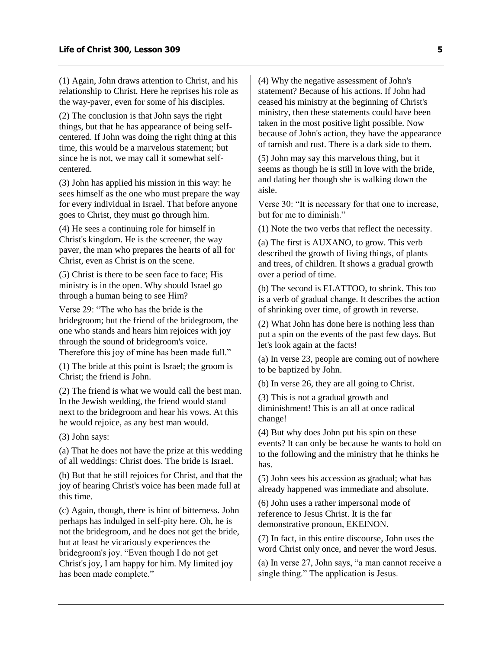(1) Again, John draws attention to Christ, and his relationship to Christ. Here he reprises his role as the way-paver, even for some of his disciples.

(2) The conclusion is that John says the right things, but that he has appearance of being selfcentered. If John was doing the right thing at this time, this would be a marvelous statement; but since he is not, we may call it somewhat selfcentered.

(3) John has applied his mission in this way: he sees himself as the one who must prepare the way for every individual in Israel. That before anyone goes to Christ, they must go through him.

(4) He sees a continuing role for himself in Christ's kingdom. He is the screener, the way paver, the man who prepares the hearts of all for Christ, even as Christ is on the scene.

(5) Christ is there to be seen face to face; His ministry is in the open. Why should Israel go through a human being to see Him?

Verse 29: "The who has the bride is the bridegroom; but the friend of the bridegroom, the one who stands and hears him rejoices with joy through the sound of bridegroom's voice. Therefore this joy of mine has been made full."

(1) The bride at this point is Israel; the groom is Christ; the friend is John.

(2) The friend is what we would call the best man. In the Jewish wedding, the friend would stand next to the bridegroom and hear his vows. At this he would rejoice, as any best man would.

(3) John says:

(a) That he does not have the prize at this wedding of all weddings: Christ does. The bride is Israel.

(b) But that he still rejoices for Christ, and that the joy of hearing Christ's voice has been made full at this time.

(c) Again, though, there is hint of bitterness. John perhaps has indulged in self-pity here. Oh, he is not the bridegroom, and he does not get the bride, but at least he vicariously experiences the bridegroom's joy. "Even though I do not get Christ's joy, I am happy for him. My limited joy has been made complete."

(4) Why the negative assessment of John's statement? Because of his actions. If John had ceased his ministry at the beginning of Christ's ministry, then these statements could have been taken in the most positive light possible. Now because of John's action, they have the appearance of tarnish and rust. There is a dark side to them.

(5) John may say this marvelous thing, but it seems as though he is still in love with the bride, and dating her though she is walking down the aisle.

Verse 30: "It is necessary for that one to increase, but for me to diminish."

(1) Note the two verbs that reflect the necessity.

(a) The first is AUXANO, to grow. This verb described the growth of living things, of plants and trees, of children. It shows a gradual growth over a period of time.

(b) The second is ELATTOO, to shrink. This too is a verb of gradual change. It describes the action of shrinking over time, of growth in reverse.

(2) What John has done here is nothing less than put a spin on the events of the past few days. But let's look again at the facts!

(a) In verse 23, people are coming out of nowhere to be baptized by John.

(b) In verse 26, they are all going to Christ.

(3) This is not a gradual growth and diminishment! This is an all at once radical change!

(4) But why does John put his spin on these events? It can only be because he wants to hold on to the following and the ministry that he thinks he has.

(5) John sees his accession as gradual; what has already happened was immediate and absolute.

(6) John uses a rather impersonal mode of reference to Jesus Christ. It is the far demonstrative pronoun, EKEINON.

(7) In fact, in this entire discourse, John uses the word Christ only once, and never the word Jesus.

(a) In verse 27, John says, "a man cannot receive a single thing." The application is Jesus.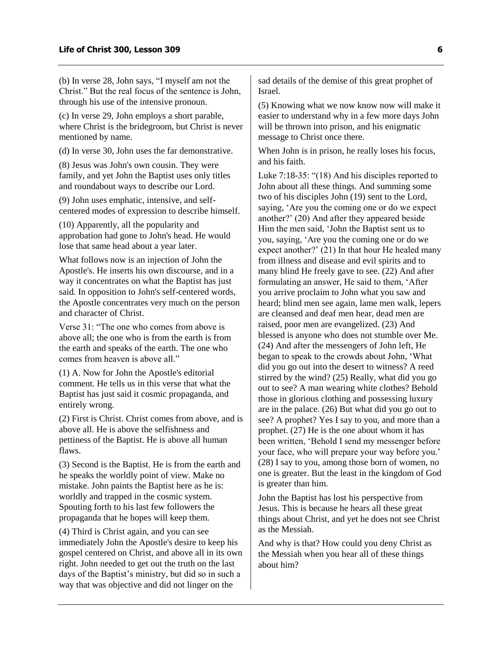(b) In verse 28, John says, "I myself am not the Christ." But the real focus of the sentence is John, through his use of the intensive pronoun.

(c) In verse 29, John employs a short parable, where Christ is the bridegroom, but Christ is never mentioned by name.

(d) In verse 30, John uses the far demonstrative.

(8) Jesus was John's own cousin. They were family, and yet John the Baptist uses only titles and roundabout ways to describe our Lord.

(9) John uses emphatic, intensive, and selfcentered modes of expression to describe himself.

(10) Apparently, all the popularity and approbation had gone to John's head. He would lose that same head about a year later.

What follows now is an injection of John the Apostle's. He inserts his own discourse, and in a way it concentrates on what the Baptist has just said. In opposition to John's self-centered words, the Apostle concentrates very much on the person and character of Christ.

Verse  $31$  "The one who comes from above is above all; the one who is from the earth is from the earth and speaks of the earth. The one who comes from heaven is above all."

(1) A. Now for John the Apostle's editorial comment. He tells us in this verse that what the Baptist has just said it cosmic propaganda, and entirely wrong.

(2) First is Christ. Christ comes from above, and is above all. He is above the selfishness and pettiness of the Baptist. He is above all human flaws.

(3) Second is the Baptist. He is from the earth and he speaks the worldly point of view. Make no mistake. John paints the Baptist here as he is: worldly and trapped in the cosmic system. Spouting forth to his last few followers the propaganda that he hopes will keep them.

(4) Third is Christ again, and you can see immediately John the Apostle's desire to keep his gospel centered on Christ, and above all in its own right. John needed to get out the truth on the last days of the Baptist's ministry, but did so in such a way that was objective and did not linger on the

sad details of the demise of this great prophet of Israel.

(5) Knowing what we now know now will make it easier to understand why in a few more days John will be thrown into prison, and his enigmatic message to Christ once there.

When John is in prison, he really loses his focus, and his faith.

Luke 7:18-35: "(18) And his disciples reported to John about all these things. And summing some two of his disciples John (19) sent to the Lord, saying, 'Are you the coming one or do we expect another?' (20) And after they appeared beside Him the men said, 'John the Baptist sent us to you, saying, 'Are you the coming one or do we expect another?' (21) In that hour He healed many from illness and disease and evil spirits and to many blind He freely gave to see. (22) And after formulating an answer, He said to them, 'After you arrive proclaim to John what you saw and heard; blind men see again, lame men walk, lepers are cleansed and deaf men hear, dead men are raised, poor men are evangelized. (23) And blessed is anyone who does not stumble over Me. (24) And after the messengers of John left, He began to speak to the crowds about John, 'What did you go out into the desert to witness? A reed stirred by the wind? (25) Really, what did you go out to see? A man wearing white clothes? Behold those in glorious clothing and possessing luxury are in the palace. (26) But what did you go out to see? A prophet? Yes I say to you, and more than a prophet. (27) He is the one about whom it has been written, 'Behold I send my messenger before your face, who will prepare your way before you.' (28) I say to you, among those born of women, no one is greater. But the least in the kingdom of God is greater than him.

John the Baptist has lost his perspective from Jesus. This is because he hears all these great things about Christ, and yet he does not see Christ as the Messiah.

And why is that? How could you deny Christ as the Messiah when you hear all of these things about him?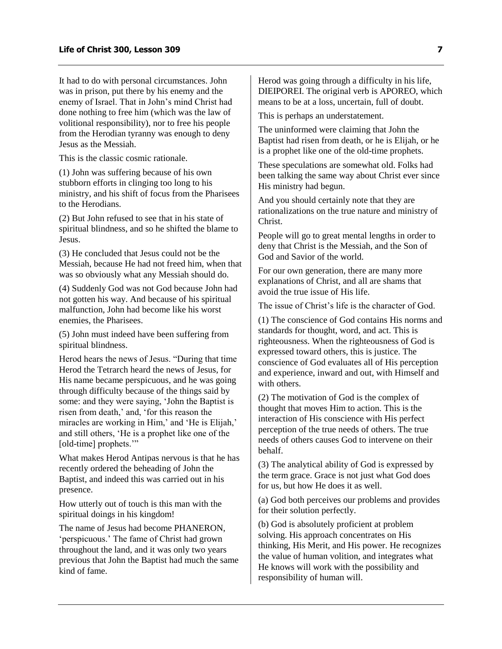It had to do with personal circumstances. John was in prison, put there by his enemy and the enemy of Israel. That in John's mind Christ had done nothing to free him (which was the law of volitional responsibility), nor to free his people from the Herodian tyranny was enough to deny Jesus as the Messiah.

This is the classic cosmic rationale.

(1) John was suffering because of his own stubborn efforts in clinging too long to his ministry, and his shift of focus from the Pharisees to the Herodians.

(2) But John refused to see that in his state of spiritual blindness, and so he shifted the blame to Jesus.

(3) He concluded that Jesus could not be the Messiah, because He had not freed him, when that was so obviously what any Messiah should do.

(4) Suddenly God was not God because John had not gotten his way. And because of his spiritual malfunction, John had become like his worst enemies, the Pharisees.

(5) John must indeed have been suffering from spiritual blindness.

Herod hears the news of Jesus. "During that time Herod the Tetrarch heard the news of Jesus, for His name became perspicuous, and he was going through difficulty because of the things said by some: and they were saying, 'John the Baptist is risen from death,' and, 'for this reason the miracles are working in Him,' and 'He is Elijah,' and still others, 'He is a prophet like one of the [old-time] prophets."

What makes Herod Antipas nervous is that he has recently ordered the beheading of John the Baptist, and indeed this was carried out in his presence.

How utterly out of touch is this man with the spiritual doings in his kingdom!

The name of Jesus had become PHANERON, 'perspicuous.' The fame of Christ had grown throughout the land, and it was only two years previous that John the Baptist had much the same kind of fame.

Herod was going through a difficulty in his life, DIEIPOREI. The original verb is APOREO, which means to be at a loss, uncertain, full of doubt.

This is perhaps an understatement.

The uninformed were claiming that John the Baptist had risen from death, or he is Elijah, or he is a prophet like one of the old-time prophets.

These speculations are somewhat old. Folks had been talking the same way about Christ ever since His ministry had begun.

And you should certainly note that they are rationalizations on the true nature and ministry of Christ.

People will go to great mental lengths in order to deny that Christ is the Messiah, and the Son of God and Savior of the world.

For our own generation, there are many more explanations of Christ, and all are shams that avoid the true issue of His life.

The issue of Christ's life is the character of God.

(1) The conscience of God contains His norms and standards for thought, word, and act. This is righteousness. When the righteousness of God is expressed toward others, this is justice. The conscience of God evaluates all of His perception and experience, inward and out, with Himself and with others.

(2) The motivation of God is the complex of thought that moves Him to action. This is the interaction of His conscience with His perfect perception of the true needs of others. The true needs of others causes God to intervene on their behalf.

(3) The analytical ability of God is expressed by the term grace. Grace is not just what God does for us, but how He does it as well.

(a) God both perceives our problems and provides for their solution perfectly.

(b) God is absolutely proficient at problem solving. His approach concentrates on His thinking, His Merit, and His power. He recognizes the value of human volition, and integrates what He knows will work with the possibility and responsibility of human will.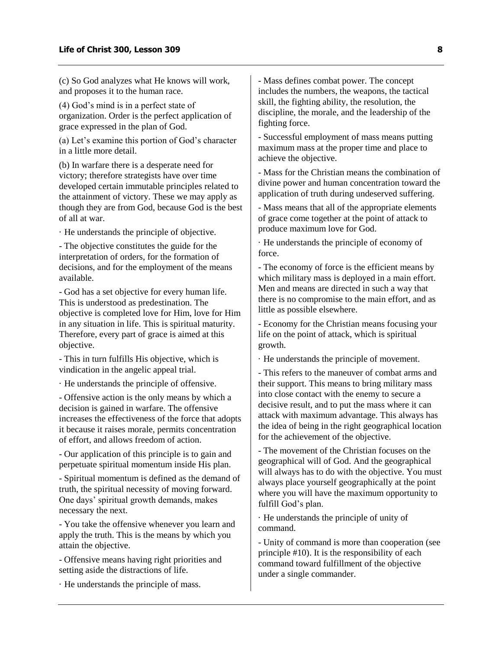(c) So God analyzes what He knows will work, and proposes it to the human race.

(4) God's mind is in a perfect state of organization. Order is the perfect application of grace expressed in the plan of God.

(a) Let's examine this portion of God's character in a little more detail.

(b) In warfare there is a desperate need for victory; therefore strategists have over time developed certain immutable principles related to the attainment of victory. These we may apply as though they are from God, because God is the best of all at war.

· He understands the principle of objective.

- The objective constitutes the guide for the interpretation of orders, for the formation of decisions, and for the employment of the means available.

- God has a set objective for every human life. This is understood as predestination. The objective is completed love for Him, love for Him in any situation in life. This is spiritual maturity. Therefore, every part of grace is aimed at this objective.

- This in turn fulfills His objective, which is vindication in the angelic appeal trial.

· He understands the principle of offensive.

- Offensive action is the only means by which a decision is gained in warfare. The offensive increases the effectiveness of the force that adopts it because it raises morale, permits concentration of effort, and allows freedom of action.

- Our application of this principle is to gain and perpetuate spiritual momentum inside His plan.

- Spiritual momentum is defined as the demand of truth, the spiritual necessity of moving forward. One days' spiritual growth demands, makes necessary the next.

- You take the offensive whenever you learn and apply the truth. This is the means by which you attain the objective.

- Offensive means having right priorities and setting aside the distractions of life.

· He understands the principle of mass.

- Mass defines combat power. The concept includes the numbers, the weapons, the tactical skill, the fighting ability, the resolution, the discipline, the morale, and the leadership of the fighting force.

- Successful employment of mass means putting maximum mass at the proper time and place to achieve the objective.

- Mass for the Christian means the combination of divine power and human concentration toward the application of truth during undeserved suffering.

- Mass means that all of the appropriate elements of grace come together at the point of attack to produce maximum love for God.

· He understands the principle of economy of force.

- The economy of force is the efficient means by which military mass is deployed in a main effort. Men and means are directed in such a way that there is no compromise to the main effort, and as little as possible elsewhere.

- Economy for the Christian means focusing your life on the point of attack, which is spiritual growth.

· He understands the principle of movement.

- This refers to the maneuver of combat arms and their support. This means to bring military mass into close contact with the enemy to secure a decisive result, and to put the mass where it can attack with maximum advantage. This always has the idea of being in the right geographical location for the achievement of the objective.

- The movement of the Christian focuses on the geographical will of God. And the geographical will always has to do with the objective. You must always place yourself geographically at the point where you will have the maximum opportunity to fulfill God's plan.

· He understands the principle of unity of command.

- Unity of command is more than cooperation (see principle #10). It is the responsibility of each command toward fulfillment of the objective under a single commander.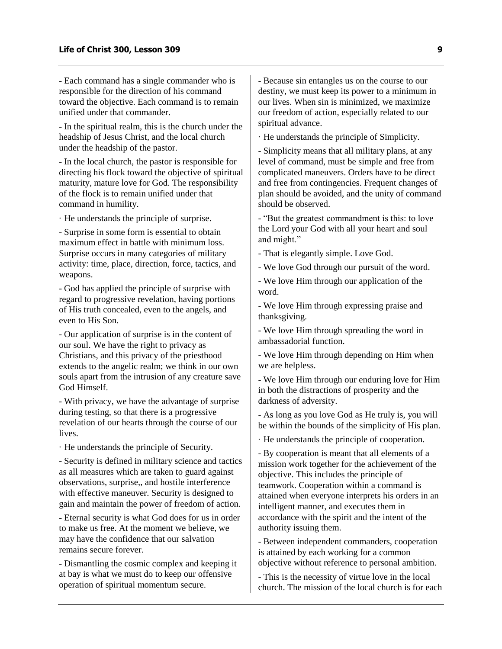- Each command has a single commander who is responsible for the direction of his command toward the objective. Each command is to remain unified under that commander.

- In the spiritual realm, this is the church under the headship of Jesus Christ, and the local church under the headship of the pastor.

- In the local church, the pastor is responsible for directing his flock toward the objective of spiritual maturity, mature love for God. The responsibility of the flock is to remain unified under that command in humility.

· He understands the principle of surprise.

- Surprise in some form is essential to obtain maximum effect in battle with minimum loss. Surprise occurs in many categories of military activity: time, place, direction, force, tactics, and weapons.

- God has applied the principle of surprise with regard to progressive revelation, having portions of His truth concealed, even to the angels, and even to His Son.

- Our application of surprise is in the content of our soul. We have the right to privacy as Christians, and this privacy of the priesthood extends to the angelic realm; we think in our own souls apart from the intrusion of any creature save God Himself.

- With privacy, we have the advantage of surprise during testing, so that there is a progressive revelation of our hearts through the course of our lives.

· He understands the principle of Security.

- Security is defined in military science and tactics as all measures which are taken to guard against observations, surprise,, and hostile interference with effective maneuver. Security is designed to gain and maintain the power of freedom of action.

- Eternal security is what God does for us in order to make us free. At the moment we believe, we may have the confidence that our salvation remains secure forever.

- Dismantling the cosmic complex and keeping it at bay is what we must do to keep our offensive operation of spiritual momentum secure.

- Because sin entangles us on the course to our destiny, we must keep its power to a minimum in our lives. When sin is minimized, we maximize our freedom of action, especially related to our spiritual advance.

· He understands the principle of Simplicity.

- Simplicity means that all military plans, at any level of command, must be simple and free from complicated maneuvers. Orders have to be direct and free from contingencies. Frequent changes of plan should be avoided, and the unity of command should be observed.

- "But the greatest commandment is this: to love the Lord your God with all your heart and soul and might."

- That is elegantly simple. Love God.

- We love God through our pursuit of the word.

- We love Him through our application of the word.

- We love Him through expressing praise and thanksgiving.

- We love Him through spreading the word in ambassadorial function.

- We love Him through depending on Him when we are helpless.

- We love Him through our enduring love for Him in both the distractions of prosperity and the darkness of adversity.

- As long as you love God as He truly is, you will be within the bounds of the simplicity of His plan.

· He understands the principle of cooperation.

- By cooperation is meant that all elements of a mission work together for the achievement of the objective. This includes the principle of teamwork. Cooperation within a command is attained when everyone interprets his orders in an intelligent manner, and executes them in accordance with the spirit and the intent of the authority issuing them.

- Between independent commanders, cooperation is attained by each working for a common objective without reference to personal ambition.

- This is the necessity of virtue love in the local church. The mission of the local church is for each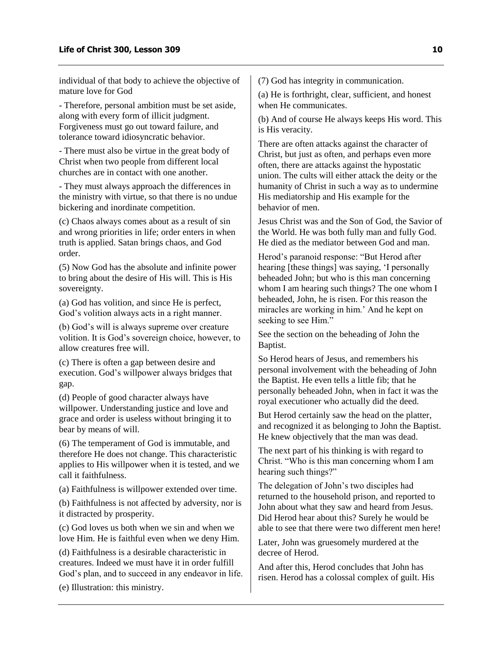individual of that body to achieve the objective of mature love for God

- Therefore, personal ambition must be set aside, along with every form of illicit judgment. Forgiveness must go out toward failure, and tolerance toward idiosyncratic behavior.

- There must also be virtue in the great body of Christ when two people from different local churches are in contact with one another.

- They must always approach the differences in the ministry with virtue, so that there is no undue bickering and inordinate competition.

(c) Chaos always comes about as a result of sin and wrong priorities in life; order enters in when truth is applied. Satan brings chaos, and God order.

(5) Now God has the absolute and infinite power to bring about the desire of His will. This is His sovereignty.

(a) God has volition, and since He is perfect, God's volition always acts in a right manner.

(b) God's will is always supreme over creature volition. It is God's sovereign choice, however, to allow creatures free will.

(c) There is often a gap between desire and execution. God's willpower always bridges that gap.

(d) People of good character always have willpower. Understanding justice and love and grace and order is useless without bringing it to bear by means of will.

(6) The temperament of God is immutable, and therefore He does not change. This characteristic applies to His willpower when it is tested, and we call it faithfulness.

(a) Faithfulness is willpower extended over time.

(b) Faithfulness is not affected by adversity, nor is it distracted by prosperity.

(c) God loves us both when we sin and when we love Him. He is faithful even when we deny Him.

(d) Faithfulness is a desirable characteristic in creatures. Indeed we must have it in order fulfill God's plan, and to succeed in any endeavor in life.

(e) Illustration: this ministry.

(7) God has integrity in communication.

(a) He is forthright, clear, sufficient, and honest when He communicates.

(b) And of course He always keeps His word. This is His veracity.

There are often attacks against the character of Christ, but just as often, and perhaps even more often, there are attacks against the hypostatic union. The cults will either attack the deity or the humanity of Christ in such a way as to undermine His mediatorship and His example for the behavior of men.

Jesus Christ was and the Son of God, the Savior of the World. He was both fully man and fully God. He died as the mediator between God and man.

Herod's paranoid response: "But Herod after hearing [these things] was saying, 'I personally beheaded John; but who is this man concerning whom I am hearing such things? The one whom I beheaded, John, he is risen. For this reason the miracles are working in him.' And he kept on seeking to see Him."

See the section on the beheading of John the Baptist.

So Herod hears of Jesus, and remembers his personal involvement with the beheading of John the Baptist. He even tells a little fib; that he personally beheaded John, when in fact it was the royal executioner who actually did the deed.

But Herod certainly saw the head on the platter, and recognized it as belonging to John the Baptist. He knew objectively that the man was dead.

The next part of his thinking is with regard to Christ. "Who is this man concerning whom I am hearing such things?"

The delegation of John's two disciples had returned to the household prison, and reported to John about what they saw and heard from Jesus. Did Herod hear about this? Surely he would be able to see that there were two different men here!

Later, John was gruesomely murdered at the decree of Herod.

And after this, Herod concludes that John has risen. Herod has a colossal complex of guilt. His